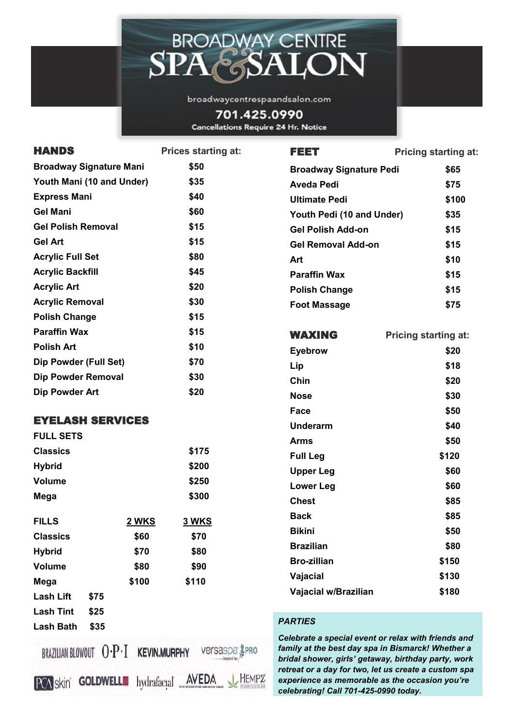

broadwaycentrespaandsalon.com

701.425.0990 **Cancellations Require 24 Hr. Notice** 

| \$50<br><b>Broadway Signature Mani</b><br><b>Broadway Signature Pedi</b><br>\$65<br>Youth Mani (10 and Under)<br>\$35<br><b>Aveda Pedi</b><br>\$75<br><b>Express Mani</b><br>\$40<br><b>Ultimate Pedi</b><br>\$100<br><b>Gel Mani</b><br>\$60<br>Youth Pedi (10 and Under)<br>\$35<br><b>Gel Polish Removal</b><br>\$15<br><b>Gel Polish Add-on</b><br>\$15<br><b>Gel Art</b><br>\$15<br><b>Gel Removal Add-on</b><br>\$15<br>\$80<br><b>Acrylic Full Set</b><br>\$10<br>Art<br>\$45<br><b>Acrylic Backfill</b><br><b>Paraffin Wax</b><br>\$15<br>\$20<br><b>Acrylic Art</b><br>\$15<br><b>Polish Change</b><br>\$30<br><b>Acrylic Removal</b><br>\$75<br><b>Foot Massage</b><br>\$15<br><b>Polish Change</b><br><b>Paraffin Wax</b><br>\$15<br><b>WAXING</b><br><b>Pricing starting at:</b><br>\$10<br><b>Polish Art</b><br>\$20<br><b>Eyebrow</b><br>Dip Powder (Full Set)<br>\$70<br>\$18<br>Lip<br><b>Dip Powder Removal</b><br>\$30<br>Chin<br>\$20<br>\$20<br><b>Dip Powder Art</b><br>\$30<br><b>Nose</b><br>Face<br>\$50<br><b>EYELASH SERVICES</b><br>\$40<br><b>Underarm</b><br><b>FULL SETS</b><br>\$50<br><b>Arms</b><br>\$175<br><b>Classics</b><br>\$120<br><b>Full Leg</b><br><b>Hybrid</b><br>\$200<br>\$60<br><b>Upper Leg</b><br><b>Volume</b><br>\$250<br>\$60<br><b>Lower Leg</b><br>\$300<br>Mega<br><b>Chest</b><br>\$85<br>\$85<br><b>Back</b><br><b>FILLS</b><br><b>2 WKS</b><br>3 WKS<br><b>Bikini</b><br>\$50<br>\$60<br><b>Classics</b><br>\$70<br><b>Brazilian</b><br>\$80<br><b>Hybrid</b><br>\$80<br>\$70<br><b>Bro-zillian</b><br>\$150<br>\$80<br>\$90<br><b>Volume</b><br>\$130<br>Vajacial<br>\$100<br>\$110<br>Mega<br>\$180<br>Vajacial w/Brazilian<br><b>Lash Lift</b><br>\$75<br>\$25<br><b>Lash Tint</b><br><b>PARTIES</b><br>\$35<br><b>Lash Bath</b><br>Celebrate a special event or relax with friends and<br>family at the best day spa in Bismarck! Whether a<br>BRAZILIAN BLOWOUT $0 \cdot P \cdot I$ KEVIN.MURPHY<br>versaspa<br>bridal shower, girls' getaway, birthday party, work<br>retreat or a day for two, let us create a custom spa<br>IEMPZ<br>experience as memorable as the occasion you're | <b>HANDS</b>                       | <b>Prices starting at:</b>  | <b>FEET</b> | <b>Pricing starting at:</b> |
|-------------------------------------------------------------------------------------------------------------------------------------------------------------------------------------------------------------------------------------------------------------------------------------------------------------------------------------------------------------------------------------------------------------------------------------------------------------------------------------------------------------------------------------------------------------------------------------------------------------------------------------------------------------------------------------------------------------------------------------------------------------------------------------------------------------------------------------------------------------------------------------------------------------------------------------------------------------------------------------------------------------------------------------------------------------------------------------------------------------------------------------------------------------------------------------------------------------------------------------------------------------------------------------------------------------------------------------------------------------------------------------------------------------------------------------------------------------------------------------------------------------------------------------------------------------------------------------------------------------------------------------------------------------------------------------------------------------------------------------------------------------------------------------------------------------------------------------------------------------------------------------------------------------------------------------------------------------------------------------------------------------------------------------------------------------------------------------------------------------------------------------------------------|------------------------------------|-----------------------------|-------------|-----------------------------|
|                                                                                                                                                                                                                                                                                                                                                                                                                                                                                                                                                                                                                                                                                                                                                                                                                                                                                                                                                                                                                                                                                                                                                                                                                                                                                                                                                                                                                                                                                                                                                                                                                                                                                                                                                                                                                                                                                                                                                                                                                                                                                                                                                       |                                    |                             |             |                             |
|                                                                                                                                                                                                                                                                                                                                                                                                                                                                                                                                                                                                                                                                                                                                                                                                                                                                                                                                                                                                                                                                                                                                                                                                                                                                                                                                                                                                                                                                                                                                                                                                                                                                                                                                                                                                                                                                                                                                                                                                                                                                                                                                                       |                                    |                             |             |                             |
|                                                                                                                                                                                                                                                                                                                                                                                                                                                                                                                                                                                                                                                                                                                                                                                                                                                                                                                                                                                                                                                                                                                                                                                                                                                                                                                                                                                                                                                                                                                                                                                                                                                                                                                                                                                                                                                                                                                                                                                                                                                                                                                                                       |                                    |                             |             |                             |
|                                                                                                                                                                                                                                                                                                                                                                                                                                                                                                                                                                                                                                                                                                                                                                                                                                                                                                                                                                                                                                                                                                                                                                                                                                                                                                                                                                                                                                                                                                                                                                                                                                                                                                                                                                                                                                                                                                                                                                                                                                                                                                                                                       |                                    |                             |             |                             |
|                                                                                                                                                                                                                                                                                                                                                                                                                                                                                                                                                                                                                                                                                                                                                                                                                                                                                                                                                                                                                                                                                                                                                                                                                                                                                                                                                                                                                                                                                                                                                                                                                                                                                                                                                                                                                                                                                                                                                                                                                                                                                                                                                       |                                    |                             |             |                             |
|                                                                                                                                                                                                                                                                                                                                                                                                                                                                                                                                                                                                                                                                                                                                                                                                                                                                                                                                                                                                                                                                                                                                                                                                                                                                                                                                                                                                                                                                                                                                                                                                                                                                                                                                                                                                                                                                                                                                                                                                                                                                                                                                                       |                                    |                             |             |                             |
|                                                                                                                                                                                                                                                                                                                                                                                                                                                                                                                                                                                                                                                                                                                                                                                                                                                                                                                                                                                                                                                                                                                                                                                                                                                                                                                                                                                                                                                                                                                                                                                                                                                                                                                                                                                                                                                                                                                                                                                                                                                                                                                                                       |                                    |                             |             |                             |
|                                                                                                                                                                                                                                                                                                                                                                                                                                                                                                                                                                                                                                                                                                                                                                                                                                                                                                                                                                                                                                                                                                                                                                                                                                                                                                                                                                                                                                                                                                                                                                                                                                                                                                                                                                                                                                                                                                                                                                                                                                                                                                                                                       |                                    |                             |             |                             |
|                                                                                                                                                                                                                                                                                                                                                                                                                                                                                                                                                                                                                                                                                                                                                                                                                                                                                                                                                                                                                                                                                                                                                                                                                                                                                                                                                                                                                                                                                                                                                                                                                                                                                                                                                                                                                                                                                                                                                                                                                                                                                                                                                       |                                    |                             |             |                             |
|                                                                                                                                                                                                                                                                                                                                                                                                                                                                                                                                                                                                                                                                                                                                                                                                                                                                                                                                                                                                                                                                                                                                                                                                                                                                                                                                                                                                                                                                                                                                                                                                                                                                                                                                                                                                                                                                                                                                                                                                                                                                                                                                                       |                                    |                             |             |                             |
|                                                                                                                                                                                                                                                                                                                                                                                                                                                                                                                                                                                                                                                                                                                                                                                                                                                                                                                                                                                                                                                                                                                                                                                                                                                                                                                                                                                                                                                                                                                                                                                                                                                                                                                                                                                                                                                                                                                                                                                                                                                                                                                                                       |                                    |                             |             |                             |
|                                                                                                                                                                                                                                                                                                                                                                                                                                                                                                                                                                                                                                                                                                                                                                                                                                                                                                                                                                                                                                                                                                                                                                                                                                                                                                                                                                                                                                                                                                                                                                                                                                                                                                                                                                                                                                                                                                                                                                                                                                                                                                                                                       |                                    |                             |             |                             |
|                                                                                                                                                                                                                                                                                                                                                                                                                                                                                                                                                                                                                                                                                                                                                                                                                                                                                                                                                                                                                                                                                                                                                                                                                                                                                                                                                                                                                                                                                                                                                                                                                                                                                                                                                                                                                                                                                                                                                                                                                                                                                                                                                       |                                    |                             |             |                             |
|                                                                                                                                                                                                                                                                                                                                                                                                                                                                                                                                                                                                                                                                                                                                                                                                                                                                                                                                                                                                                                                                                                                                                                                                                                                                                                                                                                                                                                                                                                                                                                                                                                                                                                                                                                                                                                                                                                                                                                                                                                                                                                                                                       |                                    |                             |             |                             |
|                                                                                                                                                                                                                                                                                                                                                                                                                                                                                                                                                                                                                                                                                                                                                                                                                                                                                                                                                                                                                                                                                                                                                                                                                                                                                                                                                                                                                                                                                                                                                                                                                                                                                                                                                                                                                                                                                                                                                                                                                                                                                                                                                       |                                    |                             |             |                             |
|                                                                                                                                                                                                                                                                                                                                                                                                                                                                                                                                                                                                                                                                                                                                                                                                                                                                                                                                                                                                                                                                                                                                                                                                                                                                                                                                                                                                                                                                                                                                                                                                                                                                                                                                                                                                                                                                                                                                                                                                                                                                                                                                                       |                                    |                             |             |                             |
|                                                                                                                                                                                                                                                                                                                                                                                                                                                                                                                                                                                                                                                                                                                                                                                                                                                                                                                                                                                                                                                                                                                                                                                                                                                                                                                                                                                                                                                                                                                                                                                                                                                                                                                                                                                                                                                                                                                                                                                                                                                                                                                                                       |                                    |                             |             |                             |
|                                                                                                                                                                                                                                                                                                                                                                                                                                                                                                                                                                                                                                                                                                                                                                                                                                                                                                                                                                                                                                                                                                                                                                                                                                                                                                                                                                                                                                                                                                                                                                                                                                                                                                                                                                                                                                                                                                                                                                                                                                                                                                                                                       |                                    |                             |             |                             |
|                                                                                                                                                                                                                                                                                                                                                                                                                                                                                                                                                                                                                                                                                                                                                                                                                                                                                                                                                                                                                                                                                                                                                                                                                                                                                                                                                                                                                                                                                                                                                                                                                                                                                                                                                                                                                                                                                                                                                                                                                                                                                                                                                       |                                    |                             |             |                             |
|                                                                                                                                                                                                                                                                                                                                                                                                                                                                                                                                                                                                                                                                                                                                                                                                                                                                                                                                                                                                                                                                                                                                                                                                                                                                                                                                                                                                                                                                                                                                                                                                                                                                                                                                                                                                                                                                                                                                                                                                                                                                                                                                                       |                                    |                             |             |                             |
|                                                                                                                                                                                                                                                                                                                                                                                                                                                                                                                                                                                                                                                                                                                                                                                                                                                                                                                                                                                                                                                                                                                                                                                                                                                                                                                                                                                                                                                                                                                                                                                                                                                                                                                                                                                                                                                                                                                                                                                                                                                                                                                                                       |                                    |                             |             |                             |
|                                                                                                                                                                                                                                                                                                                                                                                                                                                                                                                                                                                                                                                                                                                                                                                                                                                                                                                                                                                                                                                                                                                                                                                                                                                                                                                                                                                                                                                                                                                                                                                                                                                                                                                                                                                                                                                                                                                                                                                                                                                                                                                                                       |                                    |                             |             |                             |
|                                                                                                                                                                                                                                                                                                                                                                                                                                                                                                                                                                                                                                                                                                                                                                                                                                                                                                                                                                                                                                                                                                                                                                                                                                                                                                                                                                                                                                                                                                                                                                                                                                                                                                                                                                                                                                                                                                                                                                                                                                                                                                                                                       |                                    |                             |             |                             |
|                                                                                                                                                                                                                                                                                                                                                                                                                                                                                                                                                                                                                                                                                                                                                                                                                                                                                                                                                                                                                                                                                                                                                                                                                                                                                                                                                                                                                                                                                                                                                                                                                                                                                                                                                                                                                                                                                                                                                                                                                                                                                                                                                       |                                    |                             |             |                             |
|                                                                                                                                                                                                                                                                                                                                                                                                                                                                                                                                                                                                                                                                                                                                                                                                                                                                                                                                                                                                                                                                                                                                                                                                                                                                                                                                                                                                                                                                                                                                                                                                                                                                                                                                                                                                                                                                                                                                                                                                                                                                                                                                                       |                                    |                             |             |                             |
|                                                                                                                                                                                                                                                                                                                                                                                                                                                                                                                                                                                                                                                                                                                                                                                                                                                                                                                                                                                                                                                                                                                                                                                                                                                                                                                                                                                                                                                                                                                                                                                                                                                                                                                                                                                                                                                                                                                                                                                                                                                                                                                                                       |                                    |                             |             |                             |
|                                                                                                                                                                                                                                                                                                                                                                                                                                                                                                                                                                                                                                                                                                                                                                                                                                                                                                                                                                                                                                                                                                                                                                                                                                                                                                                                                                                                                                                                                                                                                                                                                                                                                                                                                                                                                                                                                                                                                                                                                                                                                                                                                       |                                    |                             |             |                             |
|                                                                                                                                                                                                                                                                                                                                                                                                                                                                                                                                                                                                                                                                                                                                                                                                                                                                                                                                                                                                                                                                                                                                                                                                                                                                                                                                                                                                                                                                                                                                                                                                                                                                                                                                                                                                                                                                                                                                                                                                                                                                                                                                                       |                                    |                             |             |                             |
|                                                                                                                                                                                                                                                                                                                                                                                                                                                                                                                                                                                                                                                                                                                                                                                                                                                                                                                                                                                                                                                                                                                                                                                                                                                                                                                                                                                                                                                                                                                                                                                                                                                                                                                                                                                                                                                                                                                                                                                                                                                                                                                                                       |                                    |                             |             |                             |
|                                                                                                                                                                                                                                                                                                                                                                                                                                                                                                                                                                                                                                                                                                                                                                                                                                                                                                                                                                                                                                                                                                                                                                                                                                                                                                                                                                                                                                                                                                                                                                                                                                                                                                                                                                                                                                                                                                                                                                                                                                                                                                                                                       |                                    |                             |             |                             |
|                                                                                                                                                                                                                                                                                                                                                                                                                                                                                                                                                                                                                                                                                                                                                                                                                                                                                                                                                                                                                                                                                                                                                                                                                                                                                                                                                                                                                                                                                                                                                                                                                                                                                                                                                                                                                                                                                                                                                                                                                                                                                                                                                       |                                    |                             |             |                             |
| celebrating! Call 701-425-0990 today.                                                                                                                                                                                                                                                                                                                                                                                                                                                                                                                                                                                                                                                                                                                                                                                                                                                                                                                                                                                                                                                                                                                                                                                                                                                                                                                                                                                                                                                                                                                                                                                                                                                                                                                                                                                                                                                                                                                                                                                                                                                                                                                 | <b>GOLDWELL</b><br><b>PCA skin</b> | <b>AVEDA</b><br>hydrafacial |             |                             |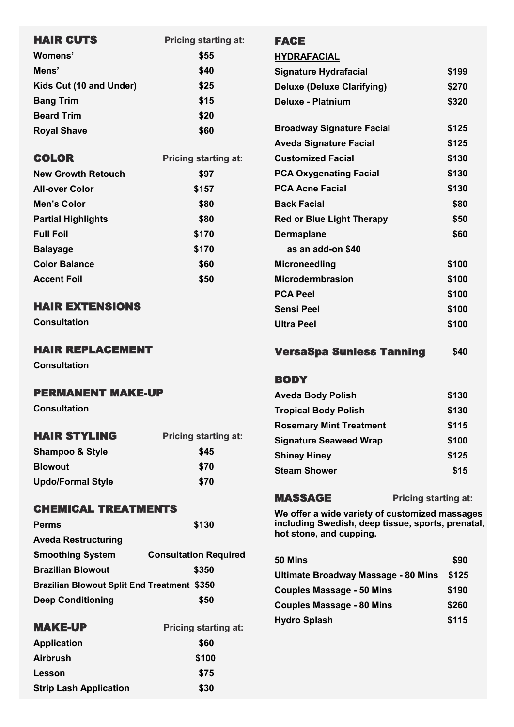| <b>Pricing starting at:</b> |
|-----------------------------|
| \$55                        |
| \$40                        |
| \$25                        |
| \$15                        |
| \$20                        |
| \$60                        |
|                             |

| <b>COLOR</b>              | <b>Pricing starting at:</b> |  |
|---------------------------|-----------------------------|--|
| <b>New Growth Retouch</b> | \$97                        |  |
| <b>All-over Color</b>     | \$157                       |  |
| Men's Color               | \$80                        |  |
| <b>Partial Highlights</b> | \$80                        |  |
| <b>Full Foil</b>          | \$170                       |  |
| <b>Balayage</b>           | \$170                       |  |
| <b>Color Balance</b>      | \$60                        |  |
| <b>Accent Foil</b>        | \$50                        |  |
|                           |                             |  |

# HAIR EXTENSIONS

**Consultation**

## HAIR REPLACEMENT

**Consultation**

## PERMANENT MAKE-UP

**Consultation**

| <b>HAIR STYLING</b>        | <b>Pricing starting at:</b> |  |
|----------------------------|-----------------------------|--|
| <b>Shampoo &amp; Style</b> | \$45                        |  |
| <b>Blowout</b>             | \$70                        |  |
| <b>Updo/Formal Style</b>   | \$70                        |  |

## CHEMICAL TREATMENTS

| <b>Perms</b>                                       | \$130                        |
|----------------------------------------------------|------------------------------|
| <b>Aveda Restructuring</b>                         |                              |
| <b>Smoothing System</b>                            | <b>Consultation Required</b> |
| <b>Brazilian Blowout</b>                           | \$350                        |
| <b>Brazilian Blowout Split End Treatment \$350</b> |                              |
| <b>Deep Conditioning</b>                           | \$50                         |

| <b>Pricing starting at:</b> |  |
|-----------------------------|--|
| \$60                        |  |
| \$100                       |  |
| \$75                        |  |
| \$30                        |  |
|                             |  |

#### FACE

**HYDRAFACIAL Signature Hydrafacial \$199 Deluxe (Deluxe Clarifying) \$270 Deluxe - Platnium \$320 Broadway Signature Facial \$125 Aveda Signature Facial \$125 Customized Facial \$130** PCA Oxygenating Facial  $$130$ PCA Acne Facial **\$130 Back Facial** \$80 **Red or Blue Light Therapy**  $$50$ **Dermaplane** \$60  **as an add-on \$40 Microneedling \$100 Microdermbrasion** \$100 **PCA Peel \$100 Sensi Peel \$100 Ultra Peel \$100** 

### **VersaSpa Sunless Tanning \$40**

#### **BODY**

| <b>Aveda Body Polish</b>       | \$130 |
|--------------------------------|-------|
| <b>Tropical Body Polish</b>    | \$130 |
| <b>Rosemary Mint Treatment</b> | \$115 |
| <b>Signature Seaweed Wrap</b>  | \$100 |
| <b>Shiney Hiney</b>            | \$125 |
| <b>Steam Shower</b>            | \$15  |

MASSAGE **Pricing starting at:**

**We offer a wide variety of customized massages including Swedish, deep tissue, sports, prenatal, hot stone, and cupping.**

| 50 Mins                             | \$90  |
|-------------------------------------|-------|
| Ultimate Broadway Massage - 80 Mins | \$125 |
| <b>Couples Massage - 50 Mins</b>    | \$190 |
| <b>Couples Massage - 80 Mins</b>    | \$260 |
| <b>Hydro Splash</b>                 | \$115 |